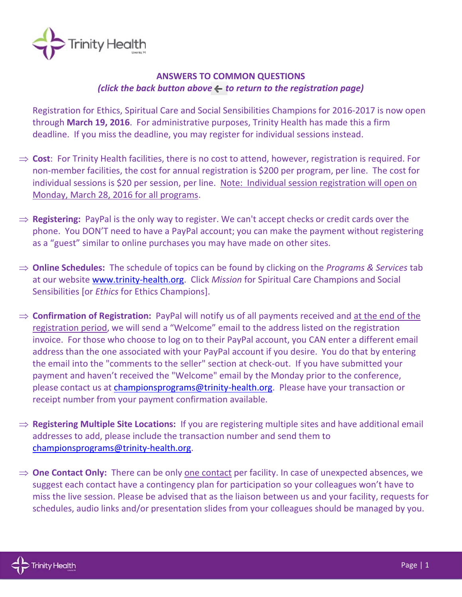

## **ANSWERS TO COMMON QUESTIONS** *(click the back button above*  $\leftarrow$  *to return to the registration page)*

Registration for Ethics, Spiritual Care and Social Sensibilities Champions for 2016-2017 is now open through **March 19, 2016**. For administrative purposes, Trinity Health has made this a firm deadline. If you miss the deadline, you may register for individual sessions instead.

- ⇒ **Cost**: For Trinity Health facilities, there is no cost to attend, however, registration is required. For non-member facilities, the cost for annual registration is \$200 per program, per line. The cost for individual sessions is \$20 per session, per line. Note: Individual session registration will open on Monday, March 28, 2016 for all programs.
- ⇒ **Registering:** PayPal is the only way to register. We can't accept checks or credit cards over the phone. You DON'T need to have a PayPal account; you can make the payment without registering as a "guest" similar to online purchases you may have made on other sites.
- **Online Schedules:** The schedule of topics can be found by clicking on the *Programs & Services* tab at our website [www.trinity-health.org.](http://www.trinity-health.org/) Click *Mission* for Spiritual Care Champions and Social Sensibilities [or *Ethics* for Ethics Champions].
- **Confirmation of Registration:** PayPal will notify us of all payments received and at the end of the registration period, we will send a "Welcome" email to the address listed on the registration invoice. For those who choose to log on to their PayPal account, you CAN enter a different email address than the one associated with your PayPal account if you desire. You do that by entering the email into the "comments to the seller" section at check-out. If you have submitted your payment and haven't received the "Welcome" email by the Monday prior to the conference, please contact us at [championsprograms@trinity-health.org.](mailto:championsprograms@trinity-health.org) Please have your transaction or receipt number from your payment confirmation available.
- **⇒ Registering Multiple Site Locations:** If you are registering multiple sites and have additional email addresses to add, please include the transaction number and send them to [championsprograms@trinity-health.org.](mailto:championsprograms@trinity-health.org)
- **→ One Contact Only:** There can be only one contact per facility. In case of unexpected absences, we suggest each contact have a contingency plan for participation so your colleagues won't have to miss the live session. Please be advised that as the liaison between us and your facility, requests for schedules, audio links and/or presentation slides from your colleagues should be managed by you.

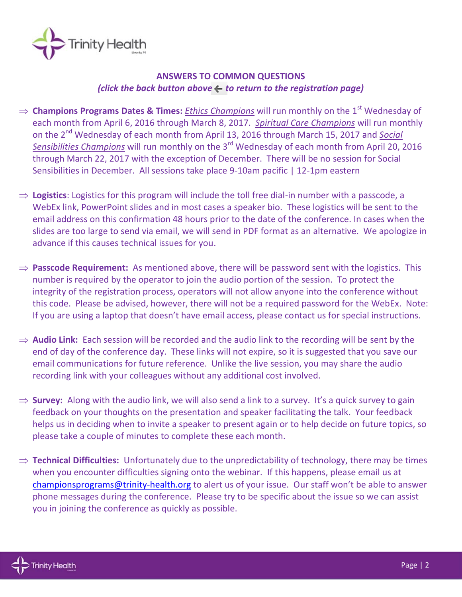

## **ANSWERS TO COMMON QUESTIONS** *(click the back button above – to return to the registration page)*

- ⇒ **Champions Programs Dates & Times:** *Ethics Champions* will run monthly on the 1<sup>st</sup> Wednesday of each month from April 6, 2016 through March 8, 2017. *Spiritual Care Champions* will run monthly on the 2<sup>nd</sup> Wednesday of each month from April 13, 2016 through March 15, 2017 and *Social* Sensibilities Champions will run monthly on the 3<sup>rd</sup> Wednesday of each month from April 20, 2016 through March 22, 2017 with the exception of December. There will be no session for Social Sensibilities in December. All sessions take place 9-10am pacific | 12-1pm eastern
- $\Rightarrow$  **Logistics**: Logistics for this program will include the toll free dial-in number with a passcode, a WebEx link, PowerPoint slides and in most cases a speaker bio. These logistics will be sent to the email address on this confirmation 48 hours prior to the date of the conference. In cases when the slides are too large to send via email, we will send in PDF format as an alternative. We apologize in advance if this causes technical issues for you.
- $\Rightarrow$  **Passcode Requirement:** As mentioned above, there will be password sent with the logistics. This number is required by the operator to join the audio portion of the session. To protect the integrity of the registration process, operators will not allow anyone into the conference without this code. Please be advised, however, there will not be a required password for the WebEx. Note: If you are using a laptop that doesn't have email access, please contact us for special instructions.
- ⇒ **Audio Link:** Each session will be recorded and the audio link to the recording will be sent by the end of day of the conference day. These links will not expire, so it is suggested that you save our email communications for future reference. Unlike the live session, you may share the audio recording link with your colleagues without any additional cost involved.
- $\Rightarrow$  **Survey:** Along with the audio link, we will also send a link to a survey. It's a quick survey to gain feedback on your thoughts on the presentation and speaker facilitating the talk. Your feedback helps us in deciding when to invite a speaker to present again or to help decide on future topics, so please take a couple of minutes to complete these each month.
- $\Rightarrow$  **Technical Difficulties:** Unfortunately due to the unpredictability of technology, there may be times when you encounter difficulties signing onto the webinar. If this happens, please email us at [championsprograms@trinity-health.org](mailto:championsprograms@trinity-health.org) to alert us of your issue. Our staff won't be able to answer phone messages during the conference. Please try to be specific about the issue so we can assist you in joining the conference as quickly as possible.